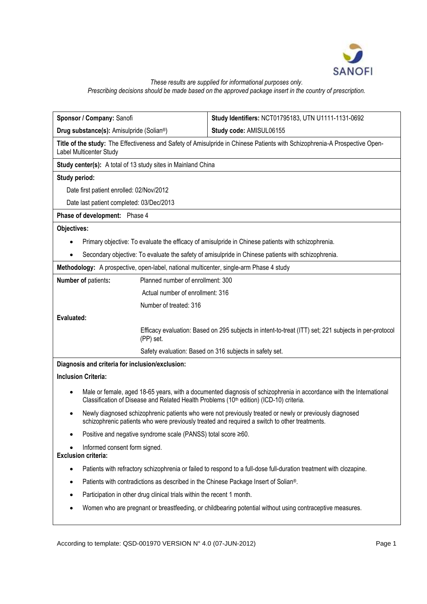

# *These results are supplied for informational purposes only. Prescribing decisions should be made based on the approved package insert in the country of prescription.*

| Sponsor / Company: Sanofi                                                                                                                                                                                                   | Study Identifiers: NCT01795183, UTN U1111-1131-0692 |
|-----------------------------------------------------------------------------------------------------------------------------------------------------------------------------------------------------------------------------|-----------------------------------------------------|
| Drug substance(s): Amisulpride (Solian <sup>®</sup> )                                                                                                                                                                       | Study code: AMISUL06155                             |
| Title of the study: The Effectiveness and Safety of Amisulpride in Chinese Patients with Schizophrenia-A Prospective Open-<br>Label Multicenter Study                                                                       |                                                     |
| Study center(s): A total of 13 study sites in Mainland China                                                                                                                                                                |                                                     |
| Study period:                                                                                                                                                                                                               |                                                     |
| Date first patient enrolled: 02/Nov/2012                                                                                                                                                                                    |                                                     |
| Date last patient completed: 03/Dec/2013                                                                                                                                                                                    |                                                     |
| Phase of development: Phase 4                                                                                                                                                                                               |                                                     |
| Objectives:                                                                                                                                                                                                                 |                                                     |
| Primary objective: To evaluate the efficacy of amisulpride in Chinese patients with schizophrenia.                                                                                                                          |                                                     |
| Secondary objective: To evaluate the safety of amisulpride in Chinese patients with schizophrenia.                                                                                                                          |                                                     |
| Methodology: A prospective, open-label, national multicenter, single-arm Phase 4 study                                                                                                                                      |                                                     |
| Planned number of enrollment: 300<br><b>Number of patients:</b>                                                                                                                                                             |                                                     |
| Actual number of enrollment: 316                                                                                                                                                                                            |                                                     |
| Number of treated: 316                                                                                                                                                                                                      |                                                     |
| Evaluated:                                                                                                                                                                                                                  |                                                     |
| Efficacy evaluation: Based on 295 subjects in intent-to-treat (ITT) set; 221 subjects in per-protocol<br>(PP) set.                                                                                                          |                                                     |
| Safety evaluation: Based on 316 subjects in safety set.                                                                                                                                                                     |                                                     |
| Diagnosis and criteria for inclusion/exclusion:                                                                                                                                                                             |                                                     |
| <b>Inclusion Criteria:</b>                                                                                                                                                                                                  |                                                     |
| Male or female, aged 18-65 years, with a documented diagnosis of schizophrenia in accordance with the International<br>$\bullet$<br>Classification of Disease and Related Health Problems (10th edition) (ICD-10) criteria. |                                                     |
| Newly diagnosed schizophrenic patients who were not previously treated or newly or previously diagnosed<br>schizophrenic patients who were previously treated and required a switch to other treatments.                    |                                                     |
| Positive and negative syndrome scale (PANSS) total score ≥60.                                                                                                                                                               |                                                     |
| Informed consent form signed.<br><b>Exclusion criteria:</b>                                                                                                                                                                 |                                                     |
| Patients with refractory schizophrenia or failed to respond to a full-dose full-duration treatment with clozapine.<br>٠                                                                                                     |                                                     |
| Patients with contradictions as described in the Chinese Package Insert of Solian <sup>®</sup> .                                                                                                                            |                                                     |
| Participation in other drug clinical trials within the recent 1 month.                                                                                                                                                      |                                                     |
| Women who are pregnant or breastfeeding, or childbearing potential without using contraceptive measures.                                                                                                                    |                                                     |
|                                                                                                                                                                                                                             |                                                     |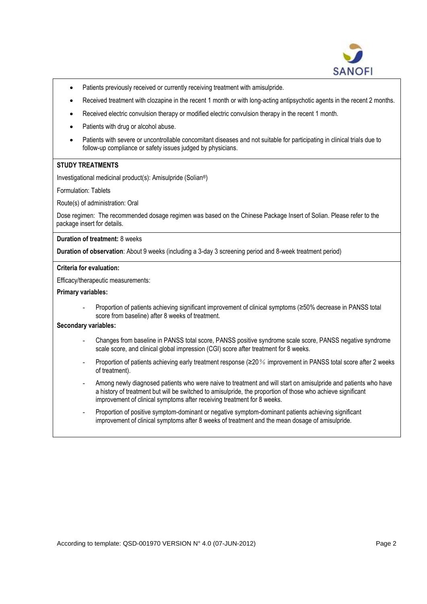

- Patients previously received or currently receiving treatment with amisulpride.
- Received treatment with clozapine in the recent 1 month or with long-acting antipsychotic agents in the recent 2 months.
- Received electric convulsion therapy or modified electric convulsion therapy in the recent 1 month.
- Patients with drug or alcohol abuse.
- Patients with severe or uncontrollable concomitant diseases and not suitable for participating in clinical trials due to follow-up compliance or safety issues judged by physicians.

#### **STUDY TREATMENTS**

Investigational medicinal product(s): Amisulpride (Solian®)

Formulation: Tablets

Route(s) of administration: Oral

Dose regimen: The recommended dosage regimen was based on the Chinese Package Insert of Solian. Please refer to the package insert for details.

**Duration of treatment:** 8 weeks

**Duration of observation**: About 9 weeks (including a 3-day 3 screening period and 8-week treatment period)

#### **Criteria for evaluation:**

Efficacy/therapeutic measurements:

#### **Primary variables:**

Proportion of patients achieving significant improvement of clinical symptoms (≥50% decrease in PANSS total score from baseline) after 8 weeks of treatment.

# **Secondary variables:**

- Changes from baseline in PANSS total score, PANSS positive syndrome scale score, PANSS negative syndrome scale score, and clinical global impression (CGI) score after treatment for 8 weeks.
- Proportion of patients achieving early treatment response (≥20% improvement in PANSS total score after 2 weeks of treatment).
- Among newly diagnosed patients who were naive to treatment and will start on amisulpride and patients who have a history of treatment but will be switched to amisulpride, the proportion of those who achieve significant improvement of clinical symptoms after receiving treatment for 8 weeks.
- Proportion of positive symptom-dominant or negative symptom-dominant patients achieving significant improvement of clinical symptoms after 8 weeks of treatment and the mean dosage of amisulpride.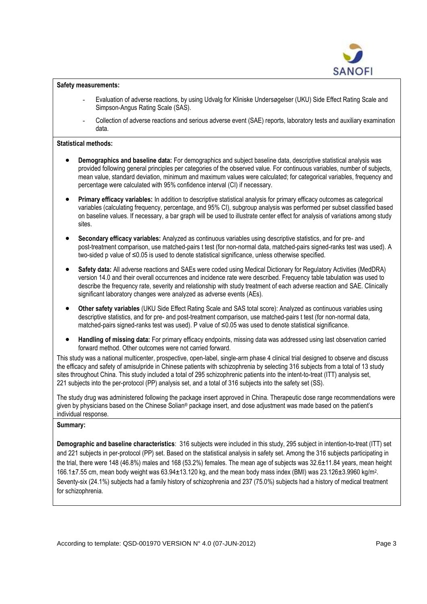

### **Safety measurements:**

- Evaluation of adverse reactions, by using Udvalg for Kliniske Undersøgelser (UKU) Side Effect Rating Scale and Simpson-Angus Rating Scale (SAS).
- Collection of adverse reactions and serious adverse event (SAE) reports, laboratory tests and auxiliary examination data.

### **Statistical methods:**

- **Demographics and baseline data:** For demographics and subject baseline data, descriptive statistical analysis was provided following general principles per categories of the observed value. For continuous variables, number of subjects, mean value, standard deviation, minimum and maximum values were calculated; for categorical variables, frequency and percentage were calculated with 95% confidence interval (CI) if necessary.
- **Primary efficacy variables:** In addition to descriptive statistical analysis for primary efficacy outcomes as categorical variables (calculating frequency, percentage, and 95% CI), subgroup analysis was performed per subset classified based on baseline values. If necessary, a bar graph will be used to illustrate center effect for analysis of variations among study sites.
- **Secondary efficacy variables:** Analyzed as continuous variables using descriptive statistics, and for pre- and post-treatment comparison, use matched-pairs t test (for non-normal data, matched-pairs signed-ranks test was used). A two-sided p value of ≤0.05 is used to denote statistical significance, unless otherwise specified.
- **Safety data:** All adverse reactions and SAEs were coded using Medical Dictionary for Regulatory Activities (MedDRA) version 14.0 and their overall occurrences and incidence rate were described. Frequency table tabulation was used to describe the frequency rate, severity and relationship with study treatment of each adverse reaction and SAE. Clinically significant laboratory changes were analyzed as adverse events (AEs).
- **Other safety variables** (UKU Side Effect Rating Scale and SAS total score): Analyzed as continuous variables using descriptive statistics, and for pre- and post-treatment comparison, use matched-pairs t test (for non-normal data, matched-pairs signed-ranks test was used). P value of ≤0.05 was used to denote statistical significance.
- **Handling of missing data:** For primary efficacy endpoints, missing data was addressed using last observation carried forward method. Other outcomes were not carried forward.

This study was a national multicenter, prospective, open-label, single-arm phase 4 clinical trial designed to observe and discuss the efficacy and safety of amisulpride in Chinese patients with schizophrenia by selecting 316 subjects from a total of 13 study sites throughout China. This study included a total of 295 schizophrenic patients into the intent-to-treat (ITT) analysis set. 221 subjects into the per-protocol (PP) analysis set, and a total of 316 subjects into the safety set (SS).

The study drug was administered following the package insert approved in China. Therapeutic dose range recommendations were given by physicians based on the Chinese Solian® package insert, and dose adjustment was made based on the patient's individual response.

#### **Summary:**

**Demographic and baseline characteristics**: 316 subjects were included in this study, 295 subject in intention-to-treat (ITT) set and 221 subjects in per-protocol (PP) set. Based on the statistical analysis in safety set. Among the 316 subjects participating in the trial, there were 148 (46.8%) males and 168 (53.2%) females. The mean age of subjects was 32.6±11.84 years, mean height 166.1±7.55 cm, mean body weight was 63.94±13.120 kg, and the mean body mass index (BMI) was 23.126±3.9960 kg/m<sup>2</sup>. Seventy-six (24.1%) subjects had a family history of schizophrenia and 237 (75.0%) subjects had a history of medical treatment for schizophrenia.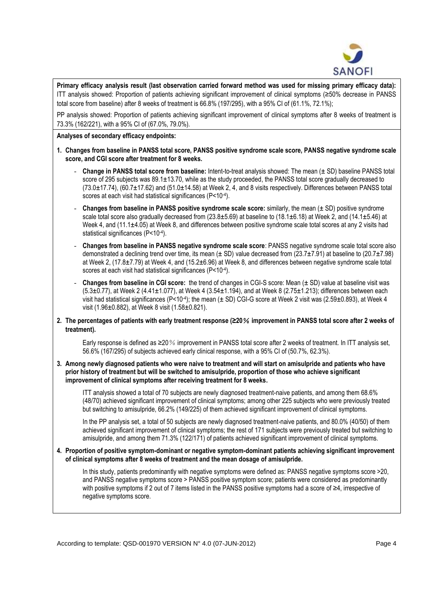

**Primary efficacy analysis result (last observation carried forward method was used for missing primary efficacy data):**  ITT analysis showed: Proportion of patients achieving significant improvement of clinical symptoms (≥50% decrease in PANSS total score from baseline) after 8 weeks of treatment is 66.8% (197/295), with a 95% CI of (61.1%, 72.1%);

PP analysis showed: Proportion of patients achieving significant improvement of clinical symptoms after 8 weeks of treatment is 73.3% (162/221), with a 95% CI of (67.0%, 79.0%).

### **Analyses of secondary efficacy endpoints:**

- **1. Changes from baseline in PANSS total score, PANSS positive syndrome scale score, PANSS negative syndrome scale score, and CGI score after treatment for 8 weeks.**
	- **Change in PANSS total score from baseline:** Intent-to-treat analysis showed: The mean (± SD) baseline PANSS total score of 295 subjects was 89.1±13.70, while as the study proceeded, the PANSS total score gradually decreased to (73.0±17.74), (60.7±17.62) and (51.0±14.58) at Week 2, 4, and 8 visits respectively. Differences between PANSS total scores at each visit had statistical significances (P<10-4 ).
	- **Changes from baseline in PANSS positive syndrome scale score:** similarly, the mean (± SD) positive syndrome scale total score also gradually decreased from  $(23.8\pm5.69)$  at baseline to  $(18.1\pm6.18)$  at Week 2, and  $(14.1\pm5.46)$  at Week 4, and (11.1±4.05) at Week 8, and differences between positive syndrome scale total scores at any 2 visits had statistical significances (P<10-4 ).
	- **Changes from baseline in PANSS negative syndrome scale score**: PANSS negative syndrome scale total score also demonstrated a declining trend over time, its mean  $(\pm$  SD) value decreased from (23.7 $\pm$ 7.91) at baseline to (20.7 $\pm$ 7.98) at Week 2, (17.8±7.79) at Week 4, and (15.2±6.96) at Week 8, and differences between negative syndrome scale total scores at each visit had statistical significances (P<10-4 ).
	- **Changes from baseline in CGI score:** the trend of changes in CGI-S score: Mean (± SD) value at baseline visit was  $(5.3\pm0.77)$ , at Week 2  $(4.41\pm1.077)$ , at Week 4  $(3.54\pm1.194)$ , and at Week 8  $(2.75\pm1.213)$ ; differences between each visit had statistical significances (P<104); the mean (± SD) CGI-G score at Week 2 visit was (2.59±0.893), at Week 4 visit (1.96±0.882), at Week 8 visit (1.58±0.821).
- **2. The percentages of patients with early treatment response (≥20**% **improvement in PANSS total score after 2 weeks of treatment).**

Early response is defined as ≥20% improvement in PANSS total score after 2 weeks of treatment. In ITT analysis set, 56.6% (167/295) of subjects achieved early clinical response, with a 95% CI of (50.7%, 62.3%).

**3. Among newly diagnosed patients who were naive to treatment and will start on amisulpride and patients who have prior history of treatment but will be switched to amisulpride, proportion of those who achieve significant improvement of clinical symptoms after receiving treatment for 8 weeks.**

ITT analysis showed a total of 70 subjects are newly diagnosed treatment-naive patients, and among them 68.6% (48/70) achieved significant improvement of clinical symptoms; among other 225 subjects who were previously treated but switching to amisulpride, 66.2% (149/225) of them achieved significant improvement of clinical symptoms.

In the PP analysis set, a total of 50 subjects are newly diagnosed treatment-naive patients, and 80.0% (40/50) of them achieved significant improvement of clinical symptoms; the rest of 171 subjects were previously treated but switching to amisulpride, and among them 71.3% (122/171) of patients achieved significant improvement of clinical symptoms.

**4. Proportion of positive symptom-dominant or negative symptom-dominant patients achieving significant improvement of clinical symptoms after 8 weeks of treatment and the mean dosage of amisulpride.** 

In this study, patients predominantly with negative symptoms were defined as: PANSS negative symptoms score >20, and PANSS negative symptoms score > PANSS positive symptom score; patients were considered as predominantly with positive symptoms if 2 out of 7 items listed in the PANSS positive symptoms had a score of ≥4, irrespective of negative symptoms score.